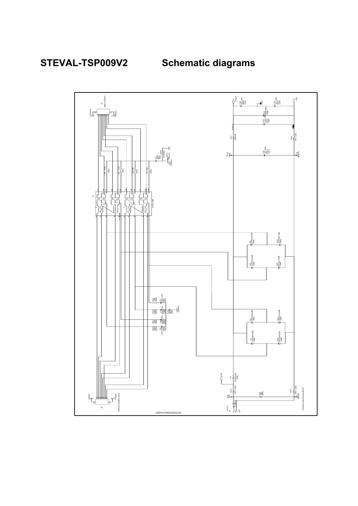**STEVAL-TSP009V2 Schematic diagrams**